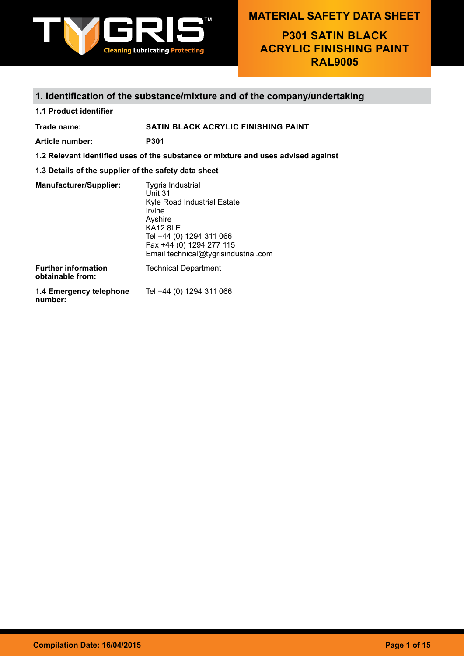

**P301 SATIN BLACK ACRYLIC FINISHING PAINT RAL9005**

### **1. Identification of the substance/mixture and of the company/undertaking**

**1.1 Product identifier**

**Trade name: SATIN BLACK ACRYLIC FINISHING PAINT**

**Article number: P301**

**1.2 Relevant identified uses of the substance or mixture and uses advised against**

### **1.3 Details of the supplier of the safety data sheet**

| <b>Manufacturer/Supplier:</b>                  | <b>Tygris Industrial</b><br>Unit 31<br>Kyle Road Industrial Estate<br>Irvine<br>Ayshire<br><b>KA12 8LE</b><br>Tel +44 (0) 1294 311 066<br>Fax +44 (0) 1294 277 115<br>Email technical@tygrisindustrial.com |
|------------------------------------------------|------------------------------------------------------------------------------------------------------------------------------------------------------------------------------------------------------------|
| <b>Further information</b><br>obtainable from: | <b>Technical Department</b>                                                                                                                                                                                |
| 1.4 Emergency telephone<br>number:             | Tel +44 (0) 1294 311 066                                                                                                                                                                                   |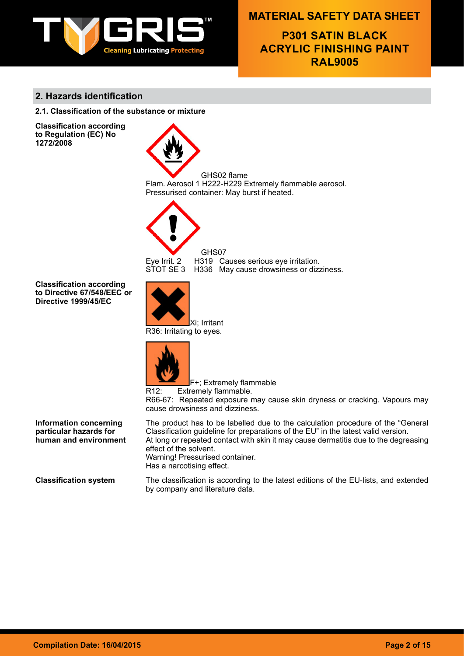

**P301 SATIN BLACK ACRYLIC FINISHING PAINT RAL9005**

### **2. Hazards identification**

**2.1. Classification of the substance or mixture**

**Classification according to Regulation (EC) No 1272/2008**





GHS07 Eye Irrit. 2 H319 Causes serious eye irritation.<br>STOT SE 3 H336 May cause drowsiness or dizz H336 May cause drowsiness or dizziness.

**Classification according to Directive 67/548/EEC or Directive 1999/45/EC**



R36: Irritating to eyes.



F+; Extremely flammable R12: Extremely flammable.

R66-67: Repeated exposure may cause skin dryness or cracking. Vapours may cause drowsiness and dizziness.

**Information concerning particular hazards for human and environment** The product has to be labelled due to the calculation procedure of the "General Classification guideline for preparations of the EU" in the latest valid version. At long or repeated contact with skin it may cause dermatitis due to the degreasing effect of the solvent. Warning! Pressurised container. Has a narcotising effect.

**Classification system** The classification is according to the latest editions of the EU-lists, and extended by company and literature data.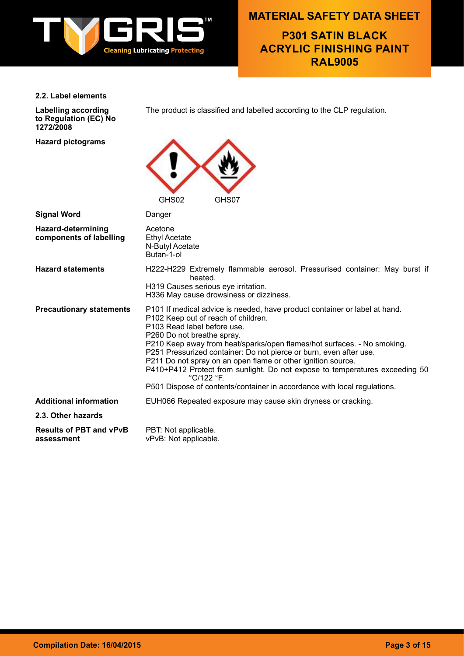

**P301 SATIN BLACK ACRYLIC FINISHING PAINT RAL9005**

### **2.2. Label elements**

**Labelling according to Regulation (EC) No 1272/2008**

**Hazard pictograms**

The product is classified and labelled according to the CLP regulation.



| <b>Signal Word</b>                            | Danger                                                                                                                                                                                                                                                                                                                                                                                                                                                                                                                                                                   |
|-----------------------------------------------|--------------------------------------------------------------------------------------------------------------------------------------------------------------------------------------------------------------------------------------------------------------------------------------------------------------------------------------------------------------------------------------------------------------------------------------------------------------------------------------------------------------------------------------------------------------------------|
| Hazard-determining<br>components of labelling | Acetone<br><b>Ethyl Acetate</b><br>N-Butyl Acetate<br>Butan-1-ol                                                                                                                                                                                                                                                                                                                                                                                                                                                                                                         |
| <b>Hazard statements</b>                      | H222-H229 Extremely flammable aerosol. Pressurised container: May burst if<br>heated.<br>H319 Causes serious eye irritation.<br>H336 May cause drowsiness or dizziness.                                                                                                                                                                                                                                                                                                                                                                                                  |
| <b>Precautionary statements</b>               | P101 If medical advice is needed, have product container or label at hand.<br>P102 Keep out of reach of children.<br>P103 Read label before use.<br>P260 Do not breathe spray.<br>P210 Keep away from heat/sparks/open flames/hot surfaces. - No smoking.<br>P251 Pressurized container: Do not pierce or burn, even after use.<br>P211 Do not spray on an open flame or other ignition source.<br>P410+P412 Protect from sunlight. Do not expose to temperatures exceeding 50<br>°C/122 °F.<br>P501 Dispose of contents/container in accordance with local regulations. |
| <b>Additional information</b>                 | EUH066 Repeated exposure may cause skin dryness or cracking.                                                                                                                                                                                                                                                                                                                                                                                                                                                                                                             |
| 2.3. Other hazards                            |                                                                                                                                                                                                                                                                                                                                                                                                                                                                                                                                                                          |
| <b>Results of PBT and vPvB</b><br>assessment  | PBT: Not applicable.<br>vPvB: Not applicable.                                                                                                                                                                                                                                                                                                                                                                                                                                                                                                                            |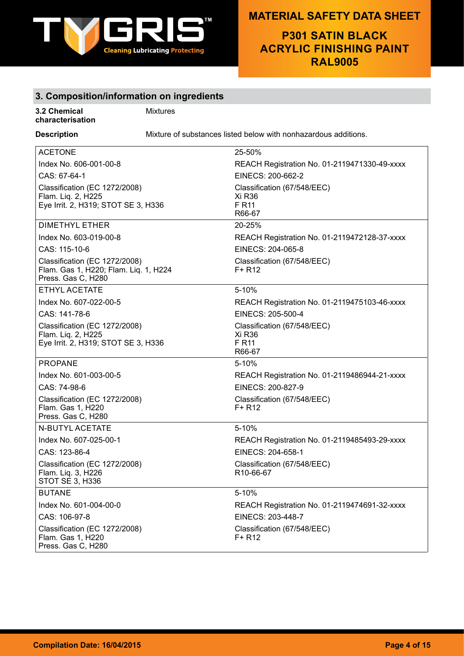

**P301 SATIN BLACK ACRYLIC FINISHING PAINT RAL9005**

# **3. Composition/information on ingredients**

#### **3.2 Chemical characterisation**

Mixtures

**Description** Mixture of substances listed below with nonhazardous additions.

| <b>ACETONE</b>                                                                               | 25-50%                                                                 |
|----------------------------------------------------------------------------------------------|------------------------------------------------------------------------|
| Index No. 606-001-00-8                                                                       | REACH Registration No. 01-2119471330-49-xxxx                           |
| CAS: 67-64-1                                                                                 | EINECS: 200-662-2                                                      |
| Classification (EC 1272/2008)<br>Flam. Liq. 2, H225<br>Eye Irrit. 2, H319; STOT SE 3, H336   | Classification (67/548/EEC)<br>Xi R36<br>F R11<br>R66-67               |
| <b>DIMETHYL ETHER</b>                                                                        | 20-25%                                                                 |
| Index No. 603-019-00-8                                                                       | REACH Registration No. 01-2119472128-37-xxxx                           |
| CAS: 115-10-6                                                                                | EINECS: 204-065-8                                                      |
| Classification (EC 1272/2008)<br>Flam. Gas 1, H220; Flam. Liq. 1, H224<br>Press. Gas C, H280 | Classification (67/548/EEC)<br>$F+R12$                                 |
| <b>ETHYL ACETATE</b>                                                                         | 5-10%                                                                  |
| Index No. 607-022-00-5                                                                       | REACH Registration No. 01-2119475103-46-xxxx                           |
| CAS: 141-78-6                                                                                | EINECS: 205-500-4                                                      |
| Classification (EC 1272/2008)<br>Flam. Liq. 2, H225<br>Eye Irrit. 2, H319; STOT SE 3, H336   | Classification (67/548/EEC)<br><b>Xi R36</b><br><b>F R11</b><br>R66-67 |
| <b>PROPANE</b>                                                                               | 5-10%                                                                  |
| Index No. 601-003-00-5                                                                       | REACH Registration No. 01-2119486944-21-xxxx                           |
| CAS: 74-98-6                                                                                 | EINECS: 200-827-9                                                      |
| Classification (EC 1272/2008)<br>Flam. Gas 1, H220<br>Press. Gas C, H280                     | Classification (67/548/EEC)<br>$F+R12$                                 |
| N-BUTYL ACETATE                                                                              | 5-10%                                                                  |
| Index No. 607-025-00-1                                                                       | REACH Registration No. 01-2119485493-29-xxxx                           |
| CAS: 123-86-4                                                                                | EINECS: 204-658-1                                                      |
| Classification (EC 1272/2008)<br>Flam. Liq. 3, H226<br>STOT SE 3, H336                       | Classification (67/548/EEC)<br>R10-66-67                               |
| <b>BUTANE</b>                                                                                | 5-10%                                                                  |
| Index No. 601-004-00-0                                                                       | REACH Registration No. 01-2119474691-32-xxxx                           |
| CAS: 106-97-8                                                                                | EINECS: 203-448-7                                                      |
| Classification (EC 1272/2008)<br>Flam. Gas 1, H220<br>Press. Gas C, H280                     | Classification (67/548/EEC)<br>$F+R12$                                 |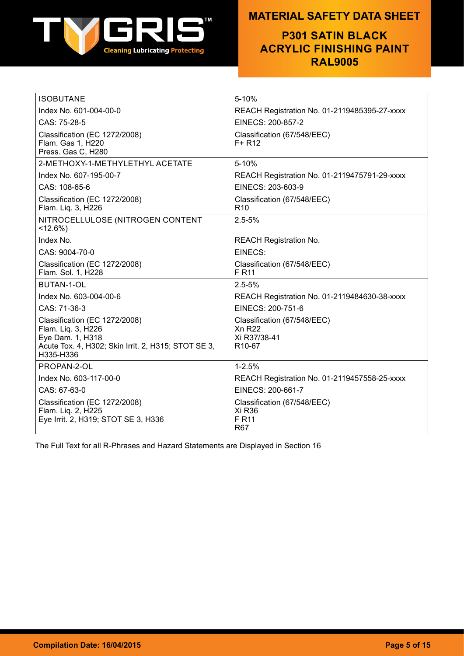

# **P301 SATIN BLACK ACRYLIC FINISHING PAINT RAL9005**

| <b>ISOBUTANE</b>                                                                                                                            | 5-10%                                                                              |
|---------------------------------------------------------------------------------------------------------------------------------------------|------------------------------------------------------------------------------------|
| Index No. 601-004-00-0                                                                                                                      | REACH Registration No. 01-2119485395-27-xxxx                                       |
| CAS: 75-28-5                                                                                                                                | EINECS: 200-857-2                                                                  |
| Classification (EC 1272/2008)<br>Flam. Gas 1, H220<br>Press. Gas C, H280                                                                    | Classification (67/548/EEC)<br>$F+R12$                                             |
| 2-METHOXY-1-METHYLETHYL ACETATE                                                                                                             | 5-10%                                                                              |
| Index No. 607-195-00-7                                                                                                                      | REACH Registration No. 01-2119475791-29-xxxx                                       |
| CAS: 108-65-6                                                                                                                               | EINECS: 203-603-9                                                                  |
| Classification (EC 1272/2008)<br>Flam. Liq. 3, H226                                                                                         | Classification (67/548/EEC)<br>R <sub>10</sub>                                     |
| NITROCELLULOSE (NITROGEN CONTENT<br>$< 12.6\%$ )                                                                                            | $2.5 - 5%$                                                                         |
| Index No.                                                                                                                                   | <b>REACH Registration No.</b>                                                      |
| CAS: 9004-70-0                                                                                                                              | EINECS:                                                                            |
| Classification (EC 1272/2008)<br>Flam. Sol. 1, H228                                                                                         | Classification (67/548/EEC)<br>F R <sub>11</sub>                                   |
| <b>BUTAN-1-OL</b>                                                                                                                           | $2.5 - 5%$                                                                         |
| Index No. 603-004-00-6                                                                                                                      | REACH Registration No. 01-2119484630-38-xxxx                                       |
| CAS: 71-36-3                                                                                                                                | EINECS: 200-751-6                                                                  |
| Classification (EC 1272/2008)<br>Flam. Liq. 3, H226<br>Eye Dam. 1, H318<br>Acute Tox. 4, H302; Skin Irrit. 2, H315; STOT SE 3,<br>H335-H336 | Classification (67/548/EEC)<br><b>Xn R22</b><br>Xi R37/38-41<br>R <sub>10-67</sub> |
| PROPAN-2-OL                                                                                                                                 | $1 - 2.5%$                                                                         |
| Index No. 603-117-00-0                                                                                                                      | REACH Registration No. 01-2119457558-25-xxxx                                       |
| CAS: 67-63-0                                                                                                                                | EINECS: 200-661-7                                                                  |
| Classification (EC 1272/2008)<br>Flam. Liq. 2, H225<br>Eye Irrit. 2, H319; STOT SE 3, H336                                                  | Classification (67/548/EEC)<br>Xi R36<br><b>F</b> R <sub>11</sub><br><b>R67</b>    |

The Full Text for all R-Phrases and Hazard Statements are Displayed in Section 16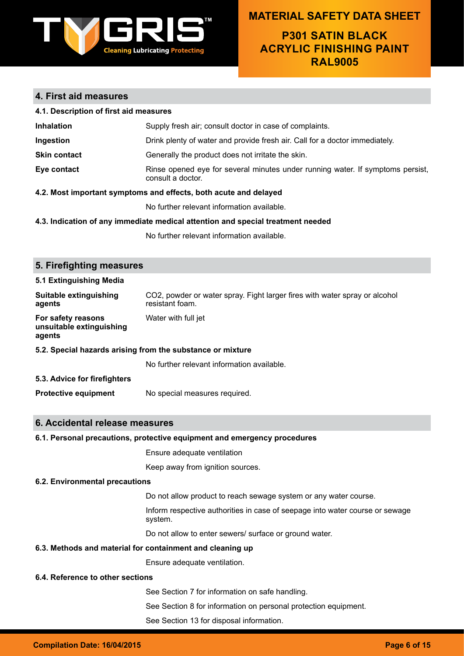

# **P301 SATIN BLACK ACRYLIC FINISHING PAINT RAL9005**

# **4. First aid measures**

| 4.1. Description of first aid measures                           |                                                                                                     |  |
|------------------------------------------------------------------|-----------------------------------------------------------------------------------------------------|--|
| <b>Inhalation</b>                                                | Supply fresh air; consult doctor in case of complaints.                                             |  |
| Ingestion                                                        | Drink plenty of water and provide fresh air. Call for a doctor immediately.                         |  |
| <b>Skin contact</b>                                              | Generally the product does not irritate the skin.                                                   |  |
| Eye contact                                                      | Rinse opened eye for several minutes under running water. If symptoms persist,<br>consult a doctor. |  |
| 4.2. Most important symptoms and effects, both acute and delayed |                                                                                                     |  |

No further relevant information available.

#### **4.3. Indication of any immediate medical attention and special treatment needed**

No further relevant information available.

| 5. Firefighting measures                                   |                                                                                               |  |
|------------------------------------------------------------|-----------------------------------------------------------------------------------------------|--|
| 5.1 Extinguishing Media                                    |                                                                                               |  |
| Suitable extinguishing<br>agents                           | CO2, powder or water spray. Fight larger fires with water spray or alcohol<br>resistant foam. |  |
| For safety reasons<br>unsuitable extinguishing<br>agents   | Water with full jet                                                                           |  |
| 5.2. Special hazards arising from the substance or mixture |                                                                                               |  |
|                                                            | No further relevant information available.                                                    |  |
| 5.3. Advice for firefighters                               |                                                                                               |  |
| <b>Protective equipment</b>                                | No special measures required.                                                                 |  |
|                                                            |                                                                                               |  |
| 6. Accidental release measures                             |                                                                                               |  |
|                                                            | 6.1. Personal precautions, protective equipment and emergency procedures                      |  |
|                                                            | Ensure adequate ventilation                                                                   |  |
|                                                            | Keep away from ignition sources.                                                              |  |
| 6.2. Environmental precautions                             |                                                                                               |  |
|                                                            | Do not allow product to reach sewage system or any water course.                              |  |
|                                                            | Inform respective authorities in case of seepage into water course or sewage<br>system.       |  |
|                                                            | Do not allow to enter sewers/ surface or ground water.                                        |  |
| 6.3. Methods and material for containment and cleaning up  |                                                                                               |  |
|                                                            | Ensure adequate ventilation.                                                                  |  |
| 6.4. Reference to other sections                           |                                                                                               |  |
|                                                            | See Section 7 for information on safe handling.                                               |  |
|                                                            | See Section 8 for information on personal protection equipment.                               |  |
|                                                            | See Section 13 for disposal information.                                                      |  |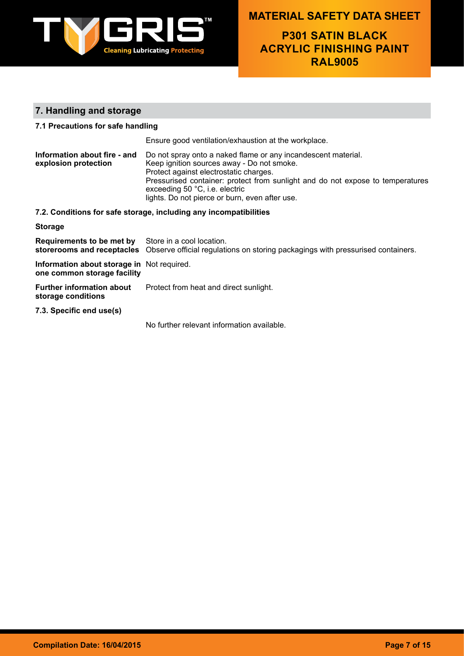

**P301 SATIN BLACK ACRYLIC FINISHING PAINT RAL9005**

### **7. Handling and storage**

### **7.1 Precautions for safe handling**

Ensure good ventilation/exhaustion at the workplace. **Information about fire - and explosion protection** Do not spray onto a naked flame or any incandescent material. Keep ignition sources away - Do not smoke. Protect against electrostatic charges. Pressurised container: protect from sunlight and do not expose to temperatures exceeding 50 °C, i.e. electric lights. Do not pierce or burn, even after use.

#### **7.2. Conditions for safe storage, including any incompatibilities**

| <b>Storage</b>                                             |                                                                                                            |
|------------------------------------------------------------|------------------------------------------------------------------------------------------------------------|
| <b>Requirements to be met by</b> Store in a cool location. | storerooms and receptacles Observe official regulations on storing packagings with pressurised containers. |
| Information about storage in Not required                  |                                                                                                            |

**Information about storage in**  Not required. **one common storage facility**

**Further information about storage conditions** Protect from heat and direct sunlight.

**7.3. Specific end use(s)**

No further relevant information available.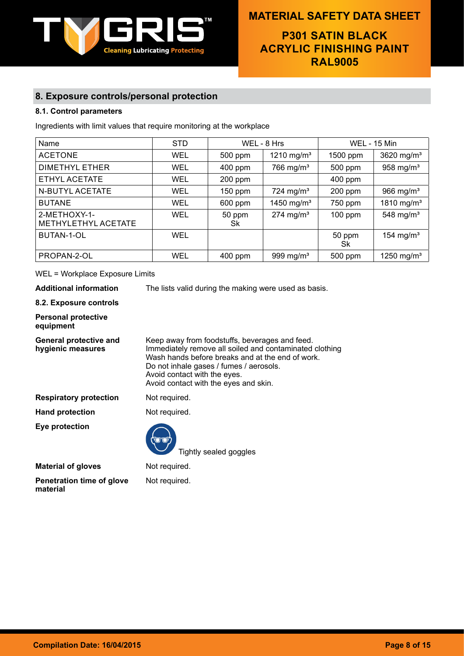

# **P301 SATIN BLACK ACRYLIC FINISHING PAINT RAL9005**

### **8. Exposure controls/personal protection**

### **8.1. Control parameters**

Ingredients with limit values that require monitoring at the workplace

| Name                                | <b>STD</b> |              | WEL - 8 Hrs             |              | <b>WEL - 15 Min</b>    |
|-------------------------------------|------------|--------------|-------------------------|--------------|------------------------|
| <b>ACETONE</b>                      | <b>WEL</b> | 500 ppm      | 1210 mg/m <sup>3</sup>  | 1500 ppm     | 3620 mg/ $m3$          |
| DIMETHYL ETHER                      | <b>WEL</b> | 400 ppm      | 766 mg/m <sup>3</sup>   | 500 ppm      | 958 mg/ $m3$           |
| ETHYL ACETATE                       | <b>WEL</b> | $200$ ppm    |                         | 400 ppm      |                        |
| N-BUTYL ACETATE                     | WEL        | $150$ ppm    | $724 \text{ mg/m}^3$    | $200$ ppm    | 966 mg/ $m3$           |
| <b>BUTANE</b>                       | <b>WEL</b> | 600 ppm      | 1450 mg/m <sup>3</sup>  | 750 ppm      | 1810 mg/m <sup>3</sup> |
| 2-METHOXY-1-<br>METHYLETHYL ACETATE | WEL        | 50 ppm<br>Sk | $274$ mg/m <sup>3</sup> | $100$ ppm    | 548 mg/ $m3$           |
| <b>BUTAN-1-OL</b>                   | WEL        |              |                         | 50 ppm<br>Sk | 154 mg/m <sup>3</sup>  |
| PROPAN-2-OL                         | <b>WEL</b> | 400 ppm      | 999 mg/m <sup>3</sup>   | 500 ppm      | 1250 mg/m <sup>3</sup> |

#### WEL = Workplace Exposure Limits

**Additional information** The lists valid during the making were used as basis.

#### **8.2. Exposure controls**

#### **Personal protective equipment**

| Keep away from foodstuffs, beverages and feed.<br>Immediately remove all soiled and contaminated clothing<br>Wash hands before breaks and at the end of work.<br>Do not inhale gases / fumes / aerosols.<br>Avoid contact with the eyes.<br>Avoid contact with the eyes and skin. |
|-----------------------------------------------------------------------------------------------------------------------------------------------------------------------------------------------------------------------------------------------------------------------------------|
| Not required.                                                                                                                                                                                                                                                                     |
|                                                                                                                                                                                                                                                                                   |

Hand protection Not required.

**Eye protection**

Tightly sealed goggles

| <b>Material of gloves</b>             | Nc |
|---------------------------------------|----|
| Penetration time of glove<br>material | Nc |

ot required.

ot required.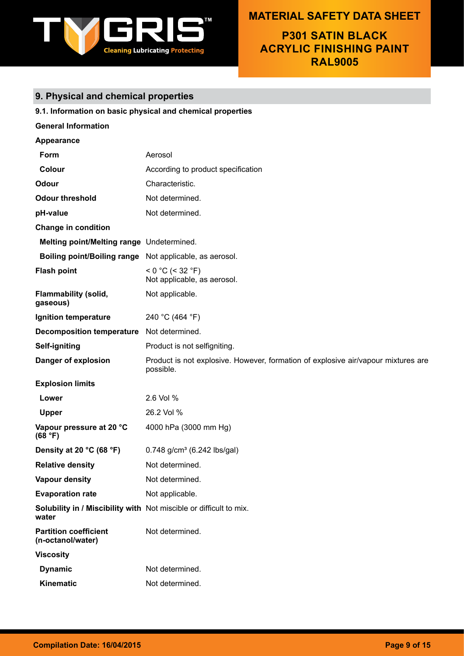

**P301 SATIN BLACK ACRYLIC FINISHING PAINT RAL9005**

# **9. Physical and chemical properties**

|                                                                             | 9.1. Information on basic physical and chemical properties                                     |
|-----------------------------------------------------------------------------|------------------------------------------------------------------------------------------------|
| <b>General Information</b>                                                  |                                                                                                |
| Appearance                                                                  |                                                                                                |
| Form                                                                        | Aerosol                                                                                        |
| Colour                                                                      | According to product specification                                                             |
| <b>Odour</b>                                                                | Characteristic.                                                                                |
| <b>Odour threshold</b>                                                      | Not determined.                                                                                |
| pH-value                                                                    | Not determined.                                                                                |
| <b>Change in condition</b>                                                  |                                                                                                |
| Melting point/Melting range Undetermined.                                   |                                                                                                |
| Boiling point/Boiling range Not applicable, as aerosol.                     |                                                                                                |
| <b>Flash point</b>                                                          | $< 0$ °C (< 32 °F)<br>Not applicable, as aerosol.                                              |
| <b>Flammability (solid,</b><br>gaseous)                                     | Not applicable.                                                                                |
| Ignition temperature                                                        | 240 °C (464 °F)                                                                                |
| Decomposition temperature Not determined.                                   |                                                                                                |
| Self-igniting                                                               | Product is not selfigniting.                                                                   |
| Danger of explosion                                                         | Product is not explosive. However, formation of explosive air/vapour mixtures are<br>possible. |
| <b>Explosion limits</b>                                                     |                                                                                                |
| Lower                                                                       | 2.6 Vol %                                                                                      |
| <b>Upper</b>                                                                | 26.2 Vol %                                                                                     |
| Vapour pressure at 20 °C<br>(68 °F)                                         | 4000 hPa (3000 mm Hg)                                                                          |
| Density at 20 °C (68 °F)                                                    | $0.748$ g/cm <sup>3</sup> (6.242 lbs/gal)                                                      |
| <b>Relative density</b>                                                     | Not determined.                                                                                |
| <b>Vapour density</b>                                                       | Not determined.                                                                                |
| <b>Evaporation rate</b>                                                     | Not applicable.                                                                                |
| Solubility in / Miscibility with Not miscible or difficult to mix.<br>water |                                                                                                |
| <b>Partition coefficient</b><br>(n-octanol/water)                           | Not determined.                                                                                |
| <b>Viscosity</b>                                                            |                                                                                                |
| <b>Dynamic</b>                                                              | Not determined.                                                                                |
| Kinematic                                                                   | Not determined.                                                                                |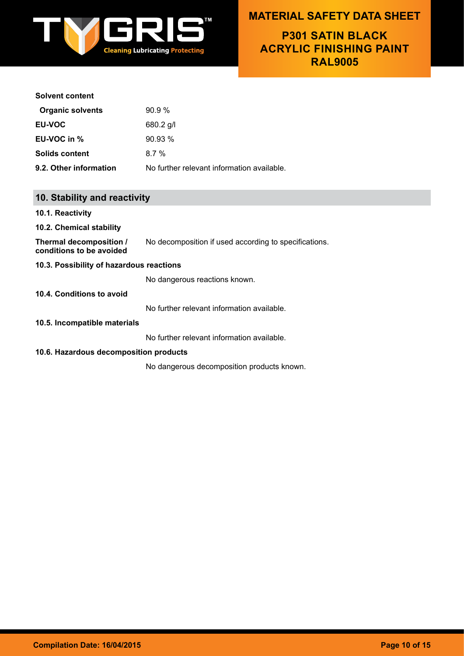

**P301 SATIN BLACK ACRYLIC FINISHING PAINT RAL9005**

#### **Solvent content**

| <b>Organic solvents</b> | 90.9%                                      |
|-------------------------|--------------------------------------------|
| <b>EU-VOC</b>           | $680.2$ g/l                                |
| EU-VOC in %             | 90.93%                                     |
| <b>Solids content</b>   | $8.7\%$                                    |
| 9.2. Other information  | No further relevant information available. |

### **10. Stability and reactivity**

**10.1. Reactivity**

#### **10.2. Chemical stability**

**Thermal decomposition / conditions to be avoided** No decomposition if used according to specifications.

#### **10.3. Possibility of hazardous reactions**

No dangerous reactions known.

### **10.4. Conditions to avoid**

No further relevant information available.

#### **10.5. Incompatible materials**

No further relevant information available.

#### **10.6. Hazardous decomposition products**

No dangerous decomposition products known.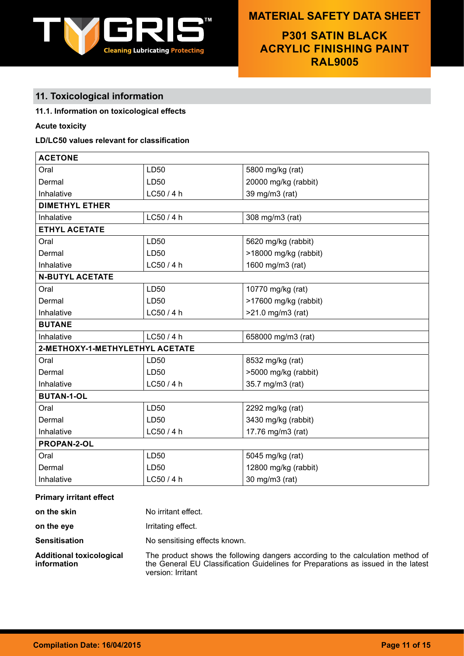

**P301 SATIN BLACK ACRYLIC FINISHING PAINT RAL9005**

# **11. Toxicological information**

### **11.1. Information on toxicological effects**

### **Acute toxicity**

### **LD/LC50 values relevant for classification**

| <b>ACETONE</b>                  |            |                       |
|---------------------------------|------------|-----------------------|
| Oral                            | LD50       | 5800 mg/kg (rat)      |
| Dermal                          | LD50       | 20000 mg/kg (rabbit)  |
| Inhalative                      | LCS0/4h    | 39 mg/m3 (rat)        |
| <b>DIMETHYL ETHER</b>           |            |                       |
| Inhalative                      | LC50 / 4 h | 308 mg/m3 (rat)       |
| <b>ETHYL ACETATE</b>            |            |                       |
| Oral                            | LD50       | 5620 mg/kg (rabbit)   |
| Dermal                          | LD50       | >18000 mg/kg (rabbit) |
| Inhalative                      | LC50/4h    | 1600 mg/m3 (rat)      |
| <b>N-BUTYL ACETATE</b>          |            |                       |
| Oral                            | LD50       | 10770 mg/kg (rat)     |
| Dermal                          | LD50       | >17600 mg/kg (rabbit) |
| Inhalative                      | LC50 / 4 h | $>21.0$ mg/m3 (rat)   |
| <b>BUTANE</b>                   |            |                       |
| Inhalative                      | LC50 / 4 h | 658000 mg/m3 (rat)    |
| 2-METHOXY-1-METHYLETHYL ACETATE |            |                       |
| Oral                            | LD50       | 8532 mg/kg (rat)      |
| Dermal                          | LD50       | >5000 mg/kg (rabbit)  |
| Inhalative                      | LC50/4h    | 35.7 mg/m3 (rat)      |
| <b>BUTAN-1-OL</b>               |            |                       |
| Oral                            | LD50       | 2292 mg/kg (rat)      |
| Dermal                          | LD50       | 3430 mg/kg (rabbit)   |
| Inhalative                      | LC50/4h    | 17.76 mg/m3 (rat)     |
| PROPAN-2-OL                     |            |                       |
| Oral                            | LD50       | 5045 mg/kg (rat)      |
| Dermal                          | LD50       | 12800 mg/kg (rabbit)  |
| Inhalative                      | LC50/4h    | 30 mg/m3 (rat)        |

#### **Primary irritant effect**

| on the skin                                    | No irritant effect.                                                                                                                                                                      |
|------------------------------------------------|------------------------------------------------------------------------------------------------------------------------------------------------------------------------------------------|
| on the eye                                     | Irritating effect.                                                                                                                                                                       |
| <b>Sensitisation</b>                           | No sensitising effects known.                                                                                                                                                            |
| <b>Additional toxicological</b><br>information | The product shows the following dangers according to the calculation method of<br>the General EU Classification Guidelines for Preparations as issued in the latest<br>version: Irritant |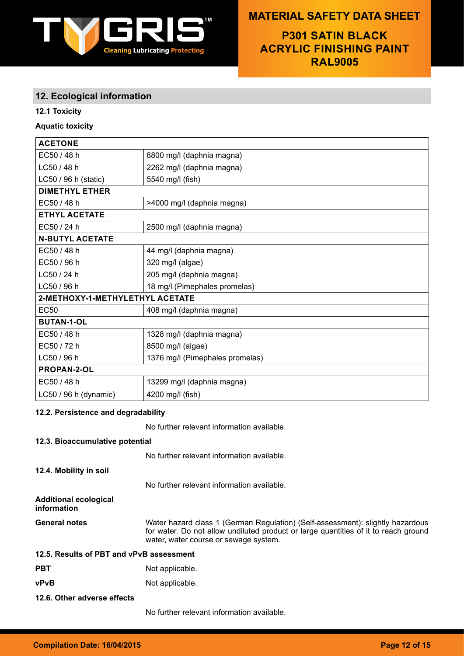

**P301 SATIN BLACK ACRYLIC FINISHING PAINT RAL9005**

### **12. Ecological information**

### **12.1 Toxicity**

### **Aquatic toxicity**

| <b>ACETONE</b>                  |                                 |  |
|---------------------------------|---------------------------------|--|
| EC50 / 48 h                     | 8800 mg/l (daphnia magna)       |  |
| LC50 / 48 h                     | 2262 mg/l (daphnia magna)       |  |
| LC50 / 96 h (static)            | 5540 mg/l (fish)                |  |
| <b>DIMETHYL ETHER</b>           |                                 |  |
| EC50 / 48 h                     | >4000 mg/l (daphnia magna)      |  |
| <b>ETHYL ACETATE</b>            |                                 |  |
| EC50/24 h                       | 2500 mg/l (daphnia magna)       |  |
| <b>N-BUTYL ACETATE</b>          |                                 |  |
| EC50 / 48 h                     | 44 mg/l (daphnia magna)         |  |
| EC50 / 96 h                     | 320 mg/l (algae)                |  |
| LC50 / 24 h                     | 205 mg/l (daphnia magna)        |  |
| LC50 / 96 h                     | 18 mg/l (Pimephales promelas)   |  |
| 2-METHOXY-1-METHYLETHYL ACETATE |                                 |  |
| <b>EC50</b>                     | 408 mg/l (daphnia magna)        |  |
| <b>BUTAN-1-OL</b>               |                                 |  |
| EC50 / 48 h                     | 1328 mg/l (daphnia magna)       |  |
| EC50 / 72 h                     | 8500 mg/l (algae)               |  |
| LC50 / 96 h                     | 1376 mg/l (Pimephales promelas) |  |
| <b>PROPAN-2-OL</b>              |                                 |  |
| EC50 / 48 h                     | 13299 mg/l (daphnia magna)      |  |
| LC50 / 96 h (dynamic)           | 4200 mg/l (fish)                |  |

### **12.2. Persistence and degradability**

No further relevant information available.

### **12.3. Bioaccumulative potential**

No further relevant information available.

**12.4. Mobility in soil**

No further relevant information available.

**Additional ecological information**

General notes **Water hazard class 1 (German Regulation) (Self-assessment): slightly hazardous** for water. Do not allow undiluted product or large quantities of it to reach ground water, water course or sewage system.

| 12.5. Results of PBT and vPvB assessment |  |
|------------------------------------------|--|
|------------------------------------------|--|

- **PBT** Not applicable.
- **vPvB** Not applicable.
- **12.6. Other adverse effects**

No further relevant information available.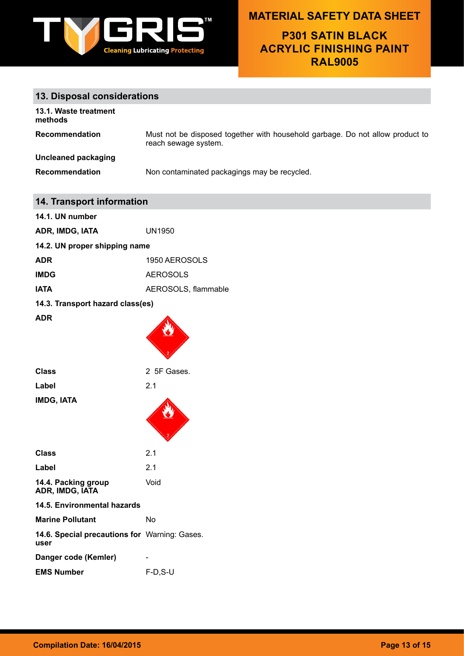

**P301 SATIN BLACK ACRYLIC FINISHING PAINT RAL9005**

# **13. Disposal considerations**

| 13.1. Waste treatment<br>methods |                                                                                                       |
|----------------------------------|-------------------------------------------------------------------------------------------------------|
| <b>Recommendation</b>            | Must not be disposed together with household garbage. Do not allow product to<br>reach sewage system. |
| Uncleaned packaging              |                                                                                                       |
| Recommendation                   | Non contaminated packagings may be recycled.                                                          |

| 14. Transport information                             |                     |  |
|-------------------------------------------------------|---------------------|--|
| 14.1. UN number                                       |                     |  |
| ADR, IMDG, IATA                                       | <b>UN1950</b>       |  |
| 14.2. UN proper shipping name                         |                     |  |
| <b>ADR</b>                                            | 1950 AEROSOLS       |  |
| <b>IMDG</b>                                           | <b>AEROSOLS</b>     |  |
| <b>IATA</b>                                           | AEROSOLS, flammable |  |
| 14.3. Transport hazard class(es)                      |                     |  |
| <b>ADR</b>                                            |                     |  |
| <b>Class</b>                                          | 2 5F Gases.         |  |
| Label                                                 | 2.1                 |  |
| IMDG, IATA                                            |                     |  |
| <b>Class</b>                                          | 2.1                 |  |
| Label                                                 | 2.1                 |  |
| 14.4. Packing group<br>ADR, IMDG, IATA                | Void                |  |
| 14.5. Environmental hazards                           |                     |  |
| <b>Marine Pollutant</b>                               | <b>No</b>           |  |
| 14.6. Special precautions for Warning: Gases.<br>user |                     |  |
| Danger code (Kemler)                                  |                     |  |
| <b>EMS Number</b>                                     | $F-D, S-U$          |  |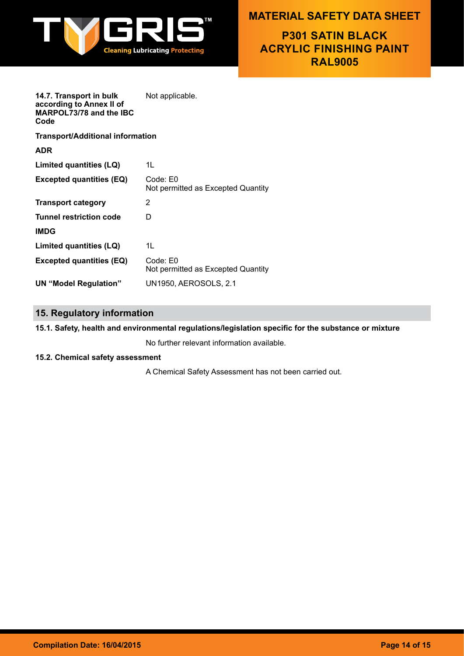

**P301 SATIN BLACK ACRYLIC FINISHING PAINT RAL9005**

**14.7. Transport in bulk according to Annex II of MARPOL73/78 and the IBC Code** Not applicable.

**Transport/Additional information**

| fransport/Additional information |                                                |
|----------------------------------|------------------------------------------------|
| ADR                              |                                                |
| Limited quantities (LQ)          | 1L                                             |
| <b>Excepted quantities (EQ)</b>  | Code: E0<br>Not permitted as Excepted Quantity |
| <b>Transport category</b>        | 2                                              |
| Tunnel restriction code          | D                                              |
| <b>IMDG</b>                      |                                                |
| Limited quantities (LQ)          | 1L                                             |
| <b>Excepted quantities (EQ)</b>  | Code: E0<br>Not permitted as Excepted Quantity |
| UN "Model Regulation"            | <b>UN1950, AEROSOLS, 2.1</b>                   |
|                                  |                                                |

# **15. Regulatory information**

### **15.1. Safety, health and environmental regulations/legislation specific for the substance or mixture**

No further relevant information available.

### **15.2. Chemical safety assessment**

A Chemical Safety Assessment has not been carried out.